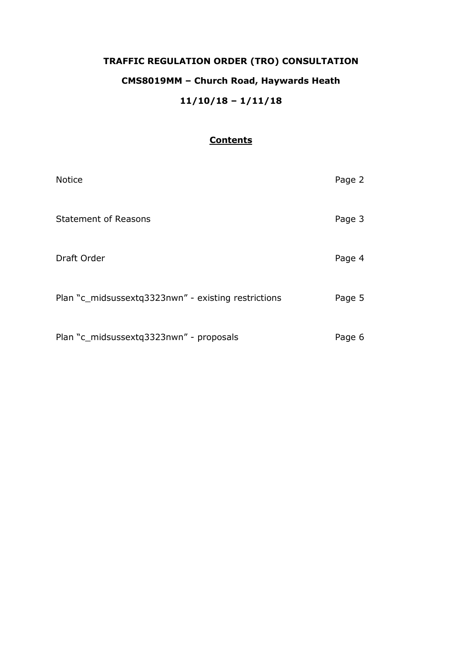# **TRAFFIC REGULATION ORDER (TRO) CONSULTATION CMS8019MM – Church Road, Haywards Heath 11/10/18 – 1/11/18**

# **Contents**

| <b>Notice</b>                                       | Page 2 |
|-----------------------------------------------------|--------|
| <b>Statement of Reasons</b>                         | Page 3 |
| Draft Order                                         | Page 4 |
| Plan "c_midsussextq3323nwn" - existing restrictions | Page 5 |
| Plan "c_midsussextq3323nwn" - proposals             | Page 6 |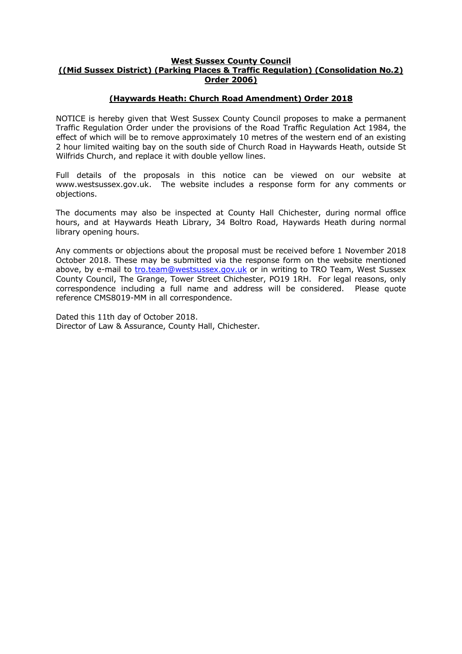#### **West Sussex County Council ((Mid Sussex District) (Parking Places & Traffic Regulation) (Consolidation No.2) Order 2006)**

# **(Haywards Heath: Church Road Amendment) Order 2018**

NOTICE is hereby given that West Sussex County Council proposes to make a permanent Traffic Regulation Order under the provisions of the Road Traffic Regulation Act 1984, the effect of which will be to remove approximately 10 metres of the western end of an existing 2 hour limited waiting bay on the south side of Church Road in Haywards Heath, outside St Wilfrids Church, and replace it with double yellow lines.

Full details of the proposals in this notice can be viewed on our website at www.westsussex.gov.uk. The website includes a response form for any comments or objections.

The documents may also be inspected at County Hall Chichester, during normal office hours, and at Haywards Heath Library, 34 Boltro Road, Haywards Heath during normal library opening hours.

Any comments or objections about the proposal must be received before 1 November 2018 October 2018. These may be submitted via the response form on the website mentioned above, by e-mail to [tro.team@westsussex.gov.uk](mailto:tro.team@westsussex.gov.uk) or in writing to TRO Team, West Sussex County Council, The Grange, Tower Street Chichester, PO19 1RH. For legal reasons, only correspondence including a full name and address will be considered. Please quote reference CMS8019-MM in all correspondence.

Dated this 11th day of October 2018. Director of Law & Assurance, County Hall, Chichester.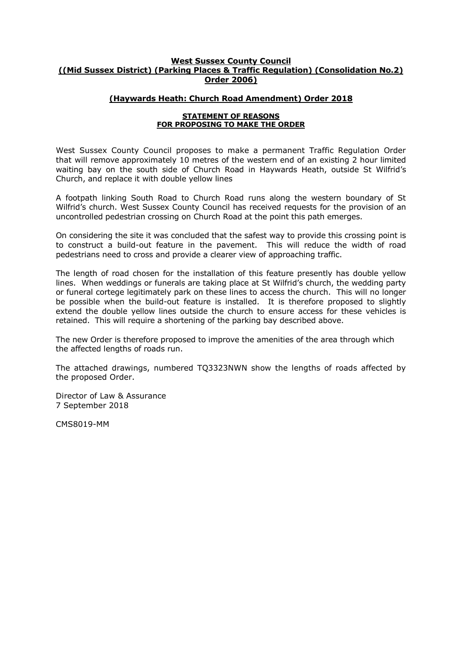## **West Sussex County Council ((Mid Sussex District) (Parking Places & Traffic Regulation) (Consolidation No.2) Order 2006)**

## **(Haywards Heath: Church Road Amendment) Order 2018**

#### **STATEMENT OF REASONS FOR PROPOSING TO MAKE THE ORDER**

West Sussex County Council proposes to make a permanent Traffic Regulation Order that will remove approximately 10 metres of the western end of an existing 2 hour limited waiting bay on the south side of Church Road in Haywards Heath, outside St Wilfrid's Church, and replace it with double yellow lines

A footpath linking South Road to Church Road runs along the western boundary of St Wilfrid's church. West Sussex County Council has received requests for the provision of an uncontrolled pedestrian crossing on Church Road at the point this path emerges.

On considering the site it was concluded that the safest way to provide this crossing point is to construct a build-out feature in the pavement. This will reduce the width of road pedestrians need to cross and provide a clearer view of approaching traffic.

The length of road chosen for the installation of this feature presently has double yellow lines. When weddings or funerals are taking place at St Wilfrid's church, the wedding party or funeral cortege legitimately park on these lines to access the church. This will no longer be possible when the build-out feature is installed. It is therefore proposed to slightly extend the double yellow lines outside the church to ensure access for these vehicles is retained. This will require a shortening of the parking bay described above.

The new Order is therefore proposed to improve the amenities of the area through which the affected lengths of roads run.

The attached drawings, numbered TQ3323NWN show the lengths of roads affected by the proposed Order.

Director of Law & Assurance 7 September 2018

CMS8019-MM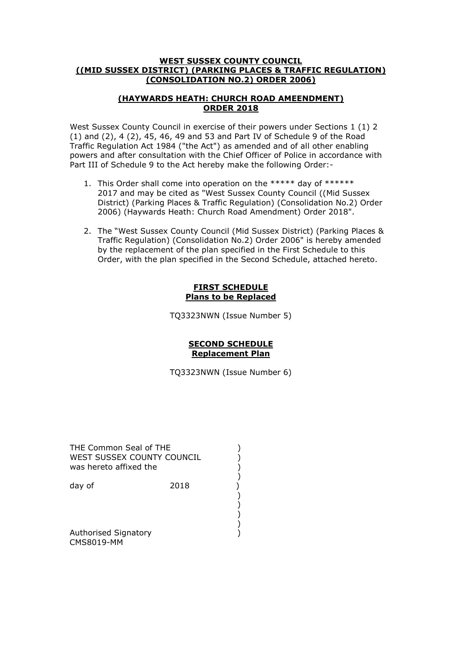## **WEST SUSSEX COUNTY COUNCIL ((MID SUSSEX DISTRICT) (PARKING PLACES & TRAFFIC REGULATION) (CONSOLIDATION NO.2) ORDER 2006)**

# **(HAYWARDS HEATH: CHURCH ROAD AMEENDMENT) ORDER 2018**

West Sussex County Council in exercise of their powers under Sections 1 (1) 2 (1) and (2), 4 (2), 45, 46, 49 and 53 and Part IV of Schedule 9 of the Road Traffic Regulation Act 1984 ("the Act") as amended and of all other enabling powers and after consultation with the Chief Officer of Police in accordance with Part III of Schedule 9 to the Act hereby make the following Order:-

- 1. This Order shall come into operation on the \*\*\*\*\* day of \*\*\*\*\*\* 2017 and may be cited as "West Sussex County Council ((Mid Sussex District) (Parking Places & Traffic Regulation) (Consolidation No.2) Order 2006) (Haywards Heath: Church Road Amendment) Order 2018".
- 2. The "West Sussex County Council (Mid Sussex District) (Parking Places & Traffic Regulation) (Consolidation No.2) Order 2006" is hereby amended by the replacement of the plan specified in the First Schedule to this Order, with the plan specified in the Second Schedule, attached hereto.

## **FIRST SCHEDULE Plans to be Replaced**

TQ3323NWN (Issue Number 5)

## **SECOND SCHEDULE Replacement Plan**

TQ3323NWN (Issue Number 6)

THE Common Seal of THE (2009)<br>WEST SUSSEX COUNTY COUNCIL WEST SUSSEX COUNTY COUNCIL was hereto affixed the ()<br>day of (2018)<br>()<br>() () ()

 ) ) ) )

 ) day of 2018

Authorised Signatory (1999) CMS8019-MM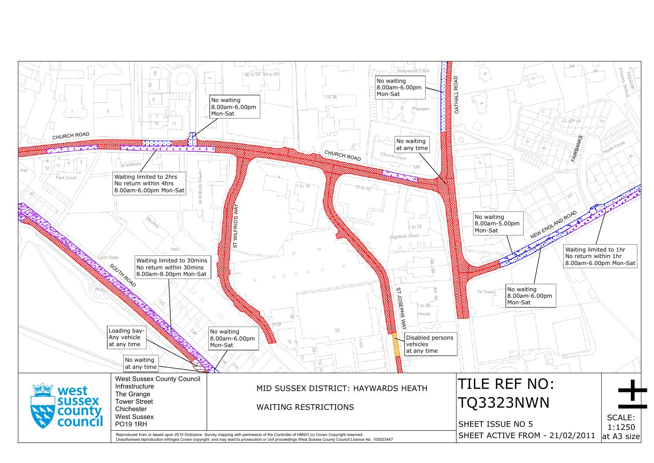